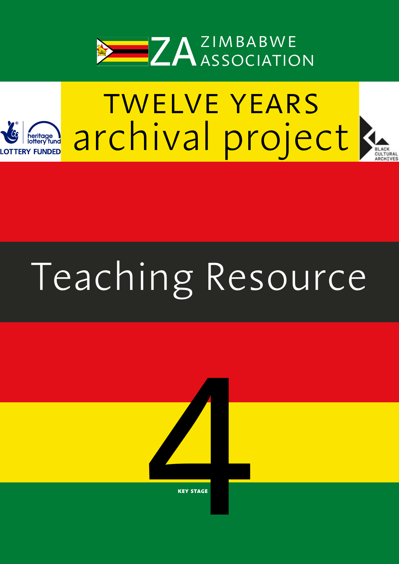



# $\overline{\text{MRT}}$ ourc Teaching Resource

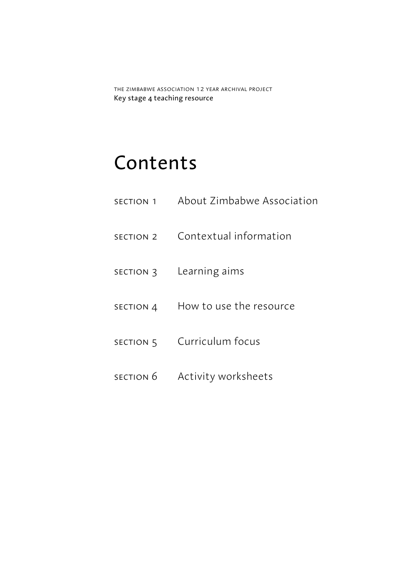the zimbabwe association 12 year archival project Key stage 4 teaching resource

# Contents

section 1 About Zimbabwe Association section 2 Contextual information section 3 Learning aims section 4 How to use the resource SECTION 5 Curriculum focus section 6 Activity worksheets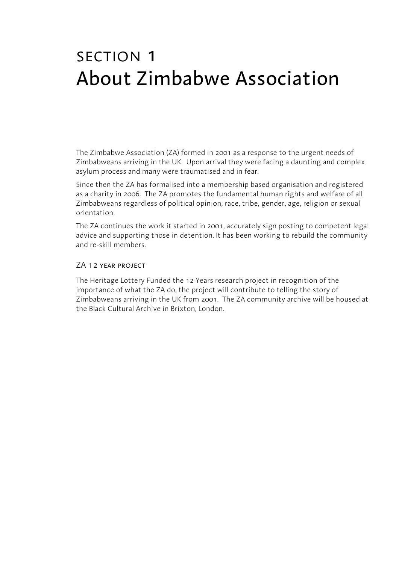# section 1 About Zimbabwe Association

The Zimbabwe Association (ZA) formed in 2001 as a response to the urgent needs of Zimbabweans arriving in the UK. Upon arrival they were facing a daunting and complex asylum process and many were traumatised and in fear.

Since then the ZA has formalised into a membership based organisation and registered as a charity in 2006. The ZA promotes the fundamental human rights and welfare of all Zimbabweans regardless of political opinion, race, tribe, gender, age, religion or sexual orientation.

The ZA continues the work it started in 2001, accurately sign posting to competent legal advice and supporting those in detention. It has been working to rebuild the community and re-skill members.

### ZA 12 year project

The Heritage Lottery Funded the 12 Years research project in recognition of the importance of what the ZA do, the project will contribute to telling the story of Zimbabweans arriving in the UK from 2001. The ZA community archive will be housed at the Black Cultural Archive in Brixton, London.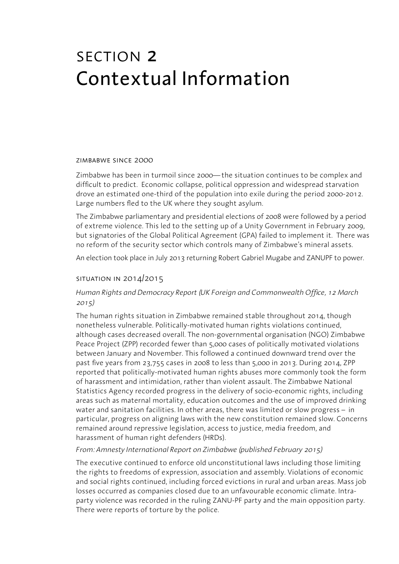# section 2 Contextual Information

#### zimbabwe since 2000

Zimbabwe has been in turmoil since 2000—the situation continues to be complex and difficult to predict. Economic collapse, political oppression and widespread starvation drove an estimated one-third of the population into exile during the period 2000-2012. Large numbers fled to the UK where they sought asylum.

The Zimbabwe parliamentary and presidential elections of 2008 were followed by a period of extreme violence. This led to the setting up of a Unity Government in February 2009, but signatories of the Global Political Agreement (GPA) failed to implement it. There was no reform of the security sector which controls many of Zimbabwe's mineral assets.

An election took place in July 2013 returning Robert Gabriel Mugabe and ZANUPF to power.

### situation in 2014/2015

## *Human Rights and Democracy Report (UK Foreign and Commonwealth Office, 12 March 2015)*

The human rights situation in Zimbabwe remained stable throughout 2014, though nonetheless vulnerable. Politically-motivated human rights violations continued, although cases decreased overall. The non-governmental organisation (NGO) Zimbabwe Peace Project (ZPP) recorded fewer than 5,000 cases of politically motivated violations between January and November. This followed a continued downward trend over the past five years from 23,755 cases in 2008 to less than 5,000 in 2013. During 2014, ZPP reported that politically-motivated human rights abuses more commonly took the form of harassment and intimidation, rather than violent assault. The Zimbabwe National Statistics Agency recorded progress in the delivery of socio-economic rights, including areas such as maternal mortality, education outcomes and the use of improved drinking water and sanitation facilities. In other areas, there was limited or slow progress – in particular, progress on aligning laws with the new constitution remained slow. Concerns remained around repressive legislation, access to justice, media freedom, and harassment of human right defenders (HRDs).

#### *From: Amnesty International Report on Zimbabwe (published February 2015)*

The executive continued to enforce old unconstitutional laws including those limiting the rights to freedoms of expression, association and assembly. Violations of economic and social rights continued, including forced evictions in rural and urban areas. Mass job losses occurred as companies closed due to an unfavourable economic climate. Intraparty violence was recorded in the ruling ZANU-PF party and the main opposition party. There were reports of torture by the police.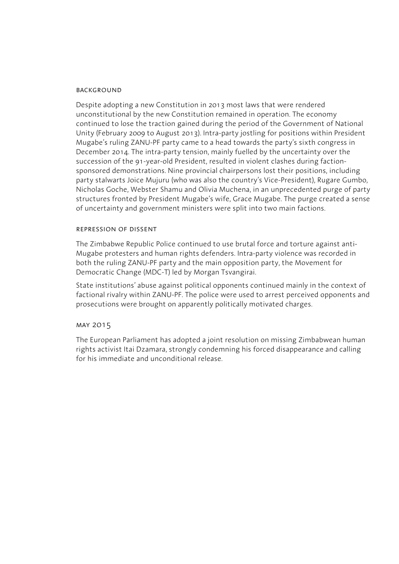#### **BACKGROUND**

Despite adopting a new Constitution in 2013 most laws that were rendered unconstitutional by the new Constitution remained in operation. The economy continued to lose the traction gained during the period of the Government of National Unity (February 2009 to August 2013). Intra-party jostling for positions within President Mugabe's ruling ZANU-PF party came to a head towards the party's sixth congress in December 2014. The intra-party tension, mainly fuelled by the uncertainty over the succession of the 91-year-old President, resulted in violent clashes during factionsponsored demonstrations. Nine provincial chairpersons lost their positions, including party stalwarts Joice Mujuru (who was also the country's Vice-President), Rugare Gumbo, Nicholas Goche, Webster Shamu and Olivia Muchena, in an unprecedented purge of party structures fronted by President Mugabe's wife, Grace Mugabe. The purge created a sense of uncertainty and government ministers were split into two main factions.

#### repression of dissent

The Zimbabwe Republic Police continued to use brutal force and torture against anti-Mugabe protesters and human rights defenders. Intra-party violence was recorded in both the ruling ZANU-PF party and the main opposition party, the Movement for Democratic Change (MDC-T) led by Morgan Tsvangirai.

State institutions' abuse against political opponents continued mainly in the context of factional rivalry within ZANU-PF. The police were used to arrest perceived opponents and prosecutions were brought on apparently politically motivated charges.

#### may 2015

The European Parliament has adopted a joint resolution on missing Zimbabwean human rights activist Itai Dzamara, strongly condemning his forced disappearance and calling for his immediate and unconditional release.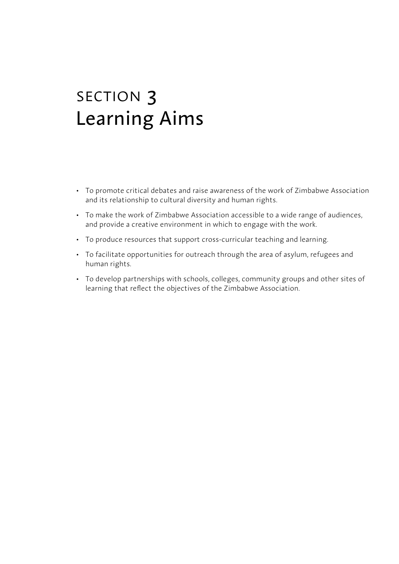# section 3 Learning Aims

- To promote critical debates and raise awareness of the work of Zimbabwe Association and its relationship to cultural diversity and human rights.
- To make the work of Zimbabwe Association accessible to a wide range of audiences, and provide a creative environment in which to engage with the work.
- To produce resources that support cross-curricular teaching and learning.
- To facilitate opportunities for outreach through the area of asylum, refugees and human rights.
- To develop partnerships with schools, colleges, community groups and other sites of learning that reflect the objectives of the Zimbabwe Association.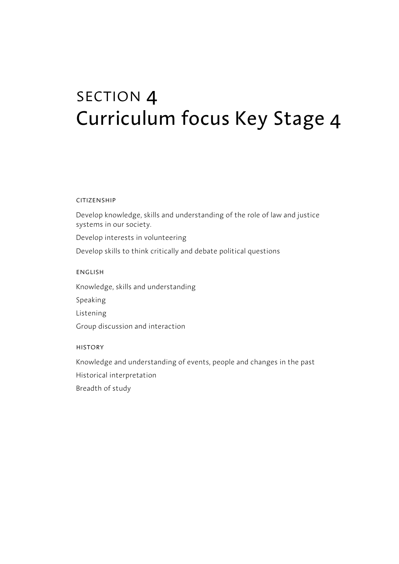# section 4 Curriculum focus Key Stage 4

#### **CITIZENSHIP**

Develop knowledge, skills and understanding of the role of law and justice systems in our society.

Develop interests in volunteering

Develop skills to think critically and debate political questions

english

Knowledge, skills and understanding

Speaking

Listening

Group discussion and interaction

#### history

Knowledge and understanding of events, people and changes in the past

Historical interpretation

Breadth of study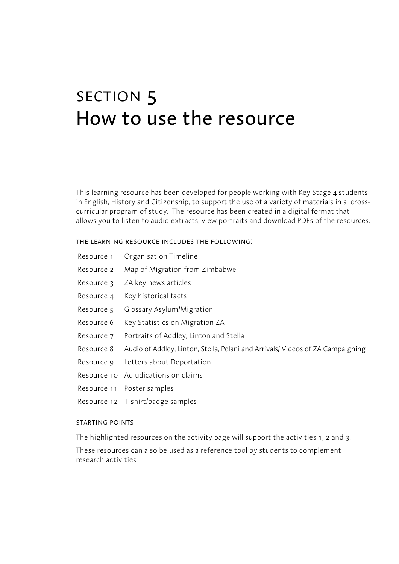# section 5 How to use the resource

This learning resource has been developed for people working with Key Stage 4 students in English, History and Citizenship, to support the use of a variety of materials in a crosscurricular program of study. The resource has been created in a digital format that allows you to listen to audio extracts, view portraits and download PDFs of the resources.

the learning resource includes the following:

- Resource 1 Organisation Timeline
- Resource 2 Map of Migration from Zimbabwe
- Resource 3 ZA key news articles
- Resource 4 Key historical facts
- Resource 5 Glossary Asylum/Migration
- Resource 6 Key Statistics on Migration ZA
- Resource 7 Portraits of Addley, Linton and Stella
- Resource 8 Audio of Addley, Linton, Stella, Pelani and Arrivals/ Videos of ZA Campaigning
- Resource 9 Letters about Deportation
- Resource 10 Adjudications on claims
- Resource 11 Poster samples
- Resource 12 T-shirt/badge samples

### starting points

The highlighted resources on the activity page will support the activities 1, 2 and 3. These resources can also be used as a reference tool by students to complement research activities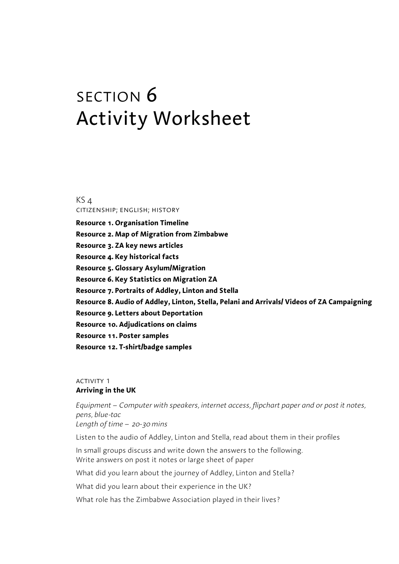# section 6 Activity Worksheet

KS 4 citizenship; english; history

**Resource 1. Organisation Timeline Resource 2. Map of Migration from Zimbabwe Resource 3. ZA key news articles Resource 4. Key historical facts Resource 5. Glossary Asylum/Migration Resource 6. Key Statistics on Migration ZA Resource 7. Portraits of Addley, Linton and Stella Resource 8. Audio of Addley, Linton, Stella, Pelani and Arrivals/ Videos of ZA Campaigning Resource 9. Letters about Deportation Resource 10. Adjudications on claims Resource 11. Poster samples Resource 12. T-shirt/badge samples**

### **ACTIVITY 1 Arriving in the UK**

*Equipment – Computer with speakers, internet access, flipchart paper and or post it notes, pens, blue-tac Length of time – 20-30 mins*

Listen to the audio of Addley, Linton and Stella, read about them in their profiles

In small groups discuss and write down the answers to the following. Write answers on post it notes or large sheet of paper

What did you learn about the journey of Addley, Linton and Stella?

What did you learn about their experience in the UK?

What role has the Zimbabwe Association played in their lives?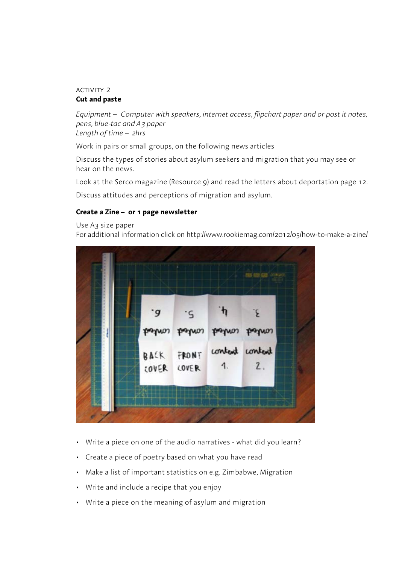#### **ACTIVITY 2 Cut and paste**

*Equipment – Computer with speakers, internet access, flipchart paper and or post it notes, pens, blue-tac and A3 paper Length of time – 2hrs*

Work in pairs or small groups, on the following news articles

Discuss the types of stories about asylum seekers and migration that you may see or hear on the news.

Look at the Serco magazine (Resource 9) and read the letters about deportation page 12.

Discuss attitudes and perceptions of migration and asylum.

### **Create a Zine – or 1 page newsletter**

Use A3 size paper

For additional information click on http://www.rookiemag.com/2012/05/how-to-make-a-zine/



- Write a piece on one of the audio narratives what did you learn?
- Create a piece of poetry based on what you have read
- Make a list of important statistics on e.g. Zimbabwe, Migration
- Write and include a recipe that you enjoy
- Write a piece on the meaning of asylum and migration